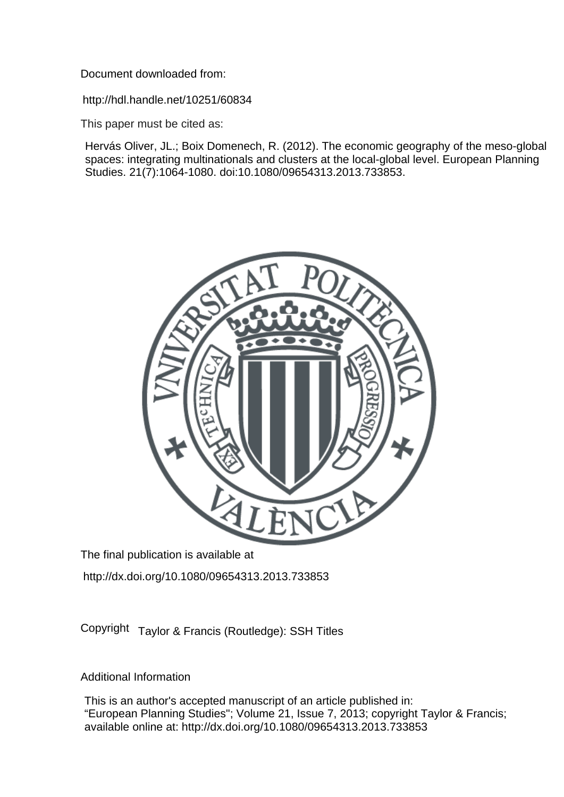Document downloaded from:

http://hdl.handle.net/10251/60834

This paper must be cited as:

Hervás Oliver, JL.; Boix Domenech, R. (2012). The economic geography of the meso-global spaces: integrating multinationals and clusters at the local-global level. European Planning Studies. 21(7):1064-1080. doi:10.1080/09654313.2013.733853.



The final publication is available at

http://dx.doi.org/10.1080/09654313.2013.733853

Copyright Taylor & Francis (Routledge): SSH Titles

Additional Information

This is an author's accepted manuscript of an article published in: "European Planning Studies"; Volume 21, Issue 7, 2013; copyright Taylor & Francis; available online at: http://dx.doi.org/10.1080/09654313.2013.733853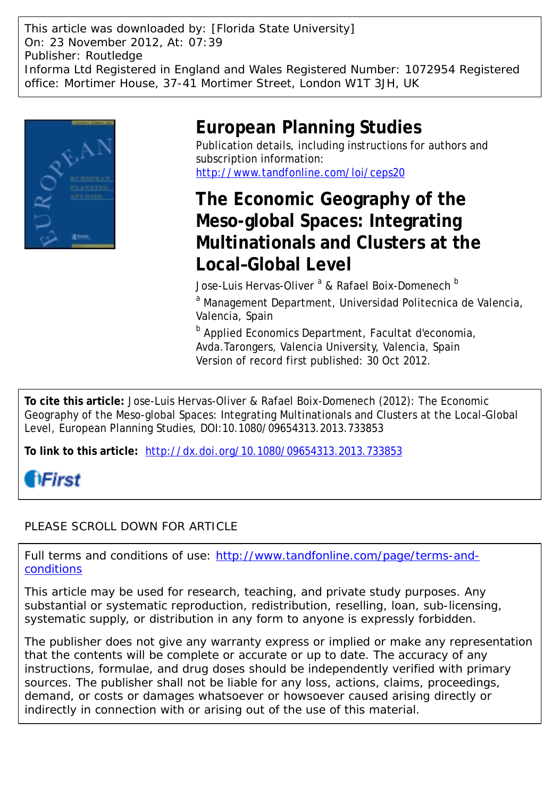This article was downloaded by: [Florida State University] On: 23 November 2012, At: 07:39 Publisher: Routledge Informa Ltd Registered in England and Wales Registered Number: 1072954 Registered office: Mortimer House, 37-41 Mortimer Street, London W1T 3JH, UK



## **European Planning Studies**

Publication details, including instructions for authors and subscription information: <http://www.tandfonline.com/loi/ceps20>

## **The Economic Geography of the Meso-global Spaces: Integrating Multinationals and Clusters at the Local–Global Level**

Jose-Luis Hervas-Oliver <sup>a</sup> & Rafael Boix-Domenech <sup>b</sup>

<sup>a</sup> Management Department, Universidad Politecnica de Valencia, Valencia, Spain

<sup>b</sup> Applied Economics Department, Facultat d'economia, Avda.Tarongers, Valencia University, Valencia, Spain Version of record first published: 30 Oct 2012.

**To cite this article:** Jose-Luis Hervas-Oliver & Rafael Boix-Domenech (2012): The Economic Geography of the Meso-global Spaces: Integrating Multinationals and Clusters at the Local–Global Level, European Planning Studies, DOI:10.1080/09654313.2013.733853

**To link to this article:** <http://dx.doi.org/10.1080/09654313.2013.733853>

# **AFirst**

### PLEASE SCROLL DOWN FOR ARTICLE

Full terms and conditions of use: [http://www.tandfonline.com/page/terms-and](http://www.tandfonline.com/page/terms-and-conditions)[conditions](http://www.tandfonline.com/page/terms-and-conditions)

This article may be used for research, teaching, and private study purposes. Any substantial or systematic reproduction, redistribution, reselling, loan, sub-licensing, systematic supply, or distribution in any form to anyone is expressly forbidden.

The publisher does not give any warranty express or implied or make any representation that the contents will be complete or accurate or up to date. The accuracy of any instructions, formulae, and drug doses should be independently verified with primary sources. The publisher shall not be liable for any loss, actions, claims, proceedings, demand, or costs or damages whatsoever or howsoever caused arising directly or indirectly in connection with or arising out of the use of this material.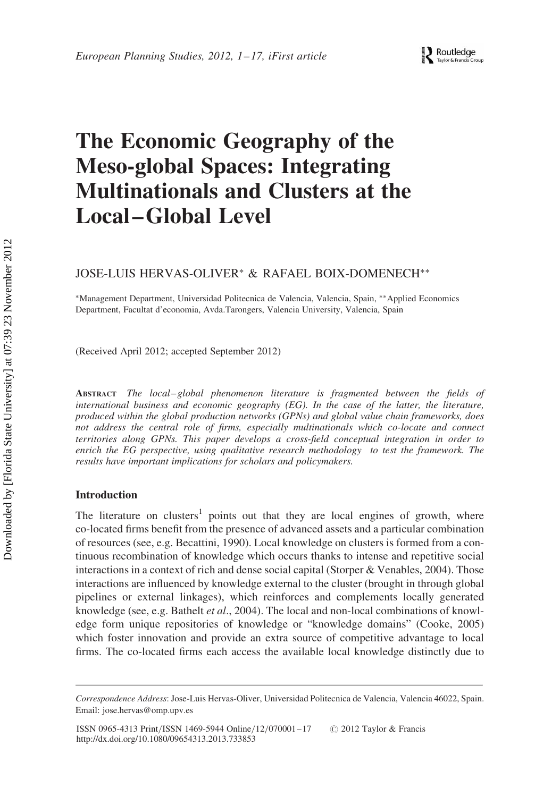# The Economic Geography of the Meso-global Spaces: Integrating Multinationals and Clusters at the Local –Global Level

### JOSE-LUIS HERVAS-OLIVER<sup>∗</sup> & RAFAEL BOIX-DOMENECH∗∗

<sup>∗</sup>Management Department, Universidad Politecnica de Valencia, Valencia, Spain, ∗∗Applied Economics Department, Facultat d'economia, Avda.Tarongers, Valencia University, Valencia, Spain

(Received April 2012; accepted September 2012)

ABSTRACT The local–global phenomenon literature is fragmented between the fields of international business and economic geography (EG). In the case of the latter, the literature, produced within the global production networks (GPNs) and global value chain frameworks, does not address the central role of firms, especially multinationals which co-locate and connect territories along GPNs. This paper develops a cross-field conceptual integration in order to enrich the EG perspective, using qualitative research methodology to test the framework. The results have important implications for scholars and policymakers.

#### Introduction

The literature on clusters<sup>1</sup> points out that they are local engines of growth, where co-located firms benefit from the presence of advanced assets and a particular combination of resources (see, e.g. Becattini, 1990). Local knowledge on clusters is formed from a continuous recombination of knowledge which occurs thanks to intense and repetitive social interactions in a context of rich and dense social capital (Storper & Venables, 2004). Those interactions are influenced by knowledge external to the cluster (brought in through global pipelines or external linkages), which reinforces and complements locally generated knowledge (see, e.g. Bathelt et al., 2004). The local and non-local combinations of knowledge form unique repositories of knowledge or "knowledge domains" (Cooke, 2005) which foster innovation and provide an extra source of competitive advantage to local firms. The co-located firms each access the available local knowledge distinctly due to

Correspondence Address: Jose-Luis Hervas-Oliver, Universidad Politecnica de Valencia, Valencia 46022, Spain. Email: jose.hervas@omp.upv.es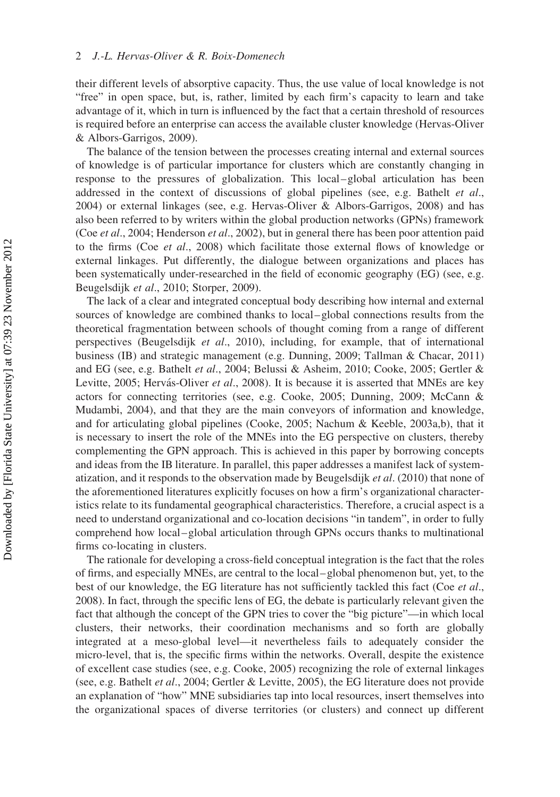their different levels of absorptive capacity. Thus, the use value of local knowledge is not "free" in open space, but, is, rather, limited by each firm's capacity to learn and take advantage of it, which in turn is influenced by the fact that a certain threshold of resources is required before an enterprise can access the available cluster knowledge (Hervas-Oliver & Albors-Garrigos, 2009).

The balance of the tension between the processes creating internal and external sources of knowledge is of particular importance for clusters which are constantly changing in response to the pressures of globalization. This local–global articulation has been addressed in the context of discussions of global pipelines (see, e.g. Bathelt et al., 2004) or external linkages (see, e.g. Hervas-Oliver & Albors-Garrigos, 2008) and has also been referred to by writers within the global production networks (GPNs) framework (Coe et al., 2004; Henderson et al., 2002), but in general there has been poor attention paid to the firms (Coe et al., 2008) which facilitate those external flows of knowledge or external linkages. Put differently, the dialogue between organizations and places has been systematically under-researched in the field of economic geography (EG) (see, e.g. Beugelsdijk et al., 2010; Storper, 2009).

The lack of a clear and integrated conceptual body describing how internal and external sources of knowledge are combined thanks to local–global connections results from the theoretical fragmentation between schools of thought coming from a range of different perspectives (Beugelsdijk et al., 2010), including, for example, that of international business (IB) and strategic management (e.g. Dunning, 2009; Tallman & Chacar, 2011) and EG (see, e.g. Bathelt et al., 2004; Belussi & Asheim, 2010; Cooke, 2005; Gertler & Levitte, 2005; Hervás-Oliver et al., 2008). It is because it is asserted that MNEs are key actors for connecting territories (see, e.g. Cooke, 2005; Dunning, 2009; McCann & Mudambi, 2004), and that they are the main conveyors of information and knowledge, and for articulating global pipelines (Cooke, 2005; Nachum & Keeble, 2003a,b), that it is necessary to insert the role of the MNEs into the EG perspective on clusters, thereby complementing the GPN approach. This is achieved in this paper by borrowing concepts and ideas from the IB literature. In parallel, this paper addresses a manifest lack of systematization, and it responds to the observation made by Beugelsdijk *et al.* (2010) that none of the aforementioned literatures explicitly focuses on how a firm's organizational characteristics relate to its fundamental geographical characteristics. Therefore, a crucial aspect is a need to understand organizational and co-location decisions "in tandem", in order to fully comprehend how local–global articulation through GPNs occurs thanks to multinational firms co-locating in clusters.

The rationale for developing a cross-field conceptual integration is the fact that the roles of firms, and especially MNEs, are central to the local–global phenomenon but, yet, to the best of our knowledge, the EG literature has not sufficiently tackled this fact (Coe et al., 2008). In fact, through the specific lens of EG, the debate is particularly relevant given the fact that although the concept of the GPN tries to cover the "big picture"—in which local clusters, their networks, their coordination mechanisms and so forth are globally integrated at a meso-global level—it nevertheless fails to adequately consider the micro-level, that is, the specific firms within the networks. Overall, despite the existence of excellent case studies (see, e.g. Cooke, 2005) recognizing the role of external linkages (see, e.g. Bathelt et al., 2004; Gertler & Levitte, 2005), the EG literature does not provide an explanation of "how" MNE subsidiaries tap into local resources, insert themselves into the organizational spaces of diverse territories (or clusters) and connect up different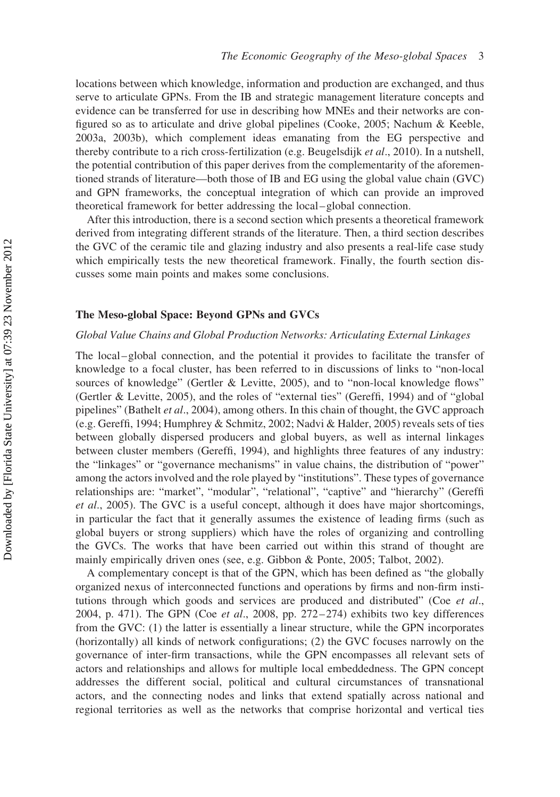locations between which knowledge, information and production are exchanged, and thus serve to articulate GPNs. From the IB and strategic management literature concepts and evidence can be transferred for use in describing how MNEs and their networks are configured so as to articulate and drive global pipelines (Cooke, 2005; Nachum & Keeble, 2003a, 2003b), which complement ideas emanating from the EG perspective and thereby contribute to a rich cross-fertilization (e.g. Beugelsdijk et al., 2010). In a nutshell, the potential contribution of this paper derives from the complementarity of the aforementioned strands of literature—both those of IB and EG using the global value chain (GVC) and GPN frameworks, the conceptual integration of which can provide an improved theoretical framework for better addressing the local–global connection.

After this introduction, there is a second section which presents a theoretical framework derived from integrating different strands of the literature. Then, a third section describes the GVC of the ceramic tile and glazing industry and also presents a real-life case study which empirically tests the new theoretical framework. Finally, the fourth section discusses some main points and makes some conclusions.

#### The Meso-global Space: Beyond GPNs and GVCs

#### Global Value Chains and Global Production Networks: Articulating External Linkages

The local–global connection, and the potential it provides to facilitate the transfer of knowledge to a focal cluster, has been referred to in discussions of links to "non-local sources of knowledge" (Gertler & Levitte, 2005), and to "non-local knowledge flows" (Gertler & Levitte, 2005), and the roles of "external ties" (Gereffi, 1994) and of "global pipelines" (Bathelt et al., 2004), among others. In this chain of thought, the GVC approach (e.g. Gereffi, 1994; Humphrey & Schmitz, 2002; Nadvi & Halder, 2005) reveals sets of ties between globally dispersed producers and global buyers, as well as internal linkages between cluster members (Gereffi, 1994), and highlights three features of any industry: the "linkages" or "governance mechanisms" in value chains, the distribution of "power" among the actors involved and the role played by "institutions". These types of governance relationships are: "market", "modular", "relational", "captive" and "hierarchy" (Gereffi et al., 2005). The GVC is a useful concept, although it does have major shortcomings, in particular the fact that it generally assumes the existence of leading firms (such as global buyers or strong suppliers) which have the roles of organizing and controlling the GVCs. The works that have been carried out within this strand of thought are mainly empirically driven ones (see, e.g. Gibbon & Ponte, 2005; Talbot, 2002).

A complementary concept is that of the GPN, which has been defined as "the globally organized nexus of interconnected functions and operations by firms and non-firm institutions through which goods and services are produced and distributed" (Coe et al., 2004, p. 471). The GPN (Coe *et al.*, 2008, pp. 272–274) exhibits two key differences from the GVC: (1) the latter is essentially a linear structure, while the GPN incorporates (horizontally) all kinds of network configurations; (2) the GVC focuses narrowly on the governance of inter-firm transactions, while the GPN encompasses all relevant sets of actors and relationships and allows for multiple local embeddedness. The GPN concept addresses the different social, political and cultural circumstances of transnational actors, and the connecting nodes and links that extend spatially across national and regional territories as well as the networks that comprise horizontal and vertical ties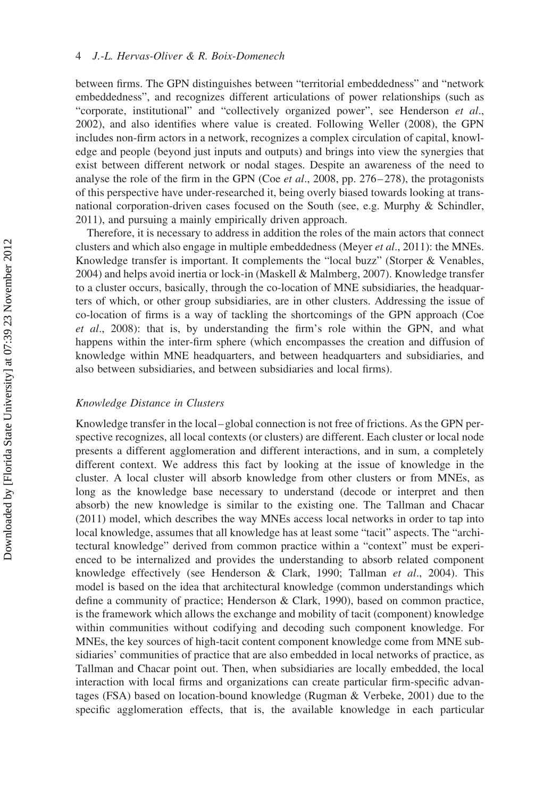between firms. The GPN distinguishes between "territorial embeddedness" and "network embeddedness", and recognizes different articulations of power relationships (such as "corporate, institutional" and "collectively organized power", see Henderson et al., 2002), and also identifies where value is created. Following Weller (2008), the GPN includes non-firm actors in a network, recognizes a complex circulation of capital, knowledge and people (beyond just inputs and outputs) and brings into view the synergies that exist between different network or nodal stages. Despite an awareness of the need to analyse the role of the firm in the GPN (Coe *et al.*, 2008, pp.  $276-278$ ), the protagonists of this perspective have under-researched it, being overly biased towards looking at transnational corporation-driven cases focused on the South (see, e.g. Murphy & Schindler, 2011), and pursuing a mainly empirically driven approach.

Therefore, it is necessary to address in addition the roles of the main actors that connect clusters and which also engage in multiple embeddedness (Meyer et al., 2011): the MNEs. Knowledge transfer is important. It complements the "local buzz" (Storper & Venables, 2004) and helps avoid inertia or lock-in (Maskell & Malmberg, 2007). Knowledge transfer to a cluster occurs, basically, through the co-location of MNE subsidiaries, the headquarters of which, or other group subsidiaries, are in other clusters. Addressing the issue of co-location of firms is a way of tackling the shortcomings of the GPN approach (Coe et al., 2008): that is, by understanding the firm's role within the GPN, and what happens within the inter-firm sphere (which encompasses the creation and diffusion of knowledge within MNE headquarters, and between headquarters and subsidiaries, and also between subsidiaries, and between subsidiaries and local firms).

#### Knowledge Distance in Clusters

Knowledge transfer in the local–global connection is not free of frictions. As the GPN perspective recognizes, all local contexts (or clusters) are different. Each cluster or local node presents a different agglomeration and different interactions, and in sum, a completely different context. We address this fact by looking at the issue of knowledge in the cluster. A local cluster will absorb knowledge from other clusters or from MNEs, as long as the knowledge base necessary to understand (decode or interpret and then absorb) the new knowledge is similar to the existing one. The Tallman and Chacar (2011) model, which describes the way MNEs access local networks in order to tap into local knowledge, assumes that all knowledge has at least some "tacit" aspects. The "architectural knowledge" derived from common practice within a "context" must be experienced to be internalized and provides the understanding to absorb related component knowledge effectively (see Henderson & Clark, 1990; Tallman et al., 2004). This model is based on the idea that architectural knowledge (common understandings which define a community of practice; Henderson & Clark, 1990), based on common practice, is the framework which allows the exchange and mobility of tacit (component) knowledge within communities without codifying and decoding such component knowledge. For MNEs, the key sources of high-tacit content component knowledge come from MNE subsidiaries' communities of practice that are also embedded in local networks of practice, as Tallman and Chacar point out. Then, when subsidiaries are locally embedded, the local interaction with local firms and organizations can create particular firm-specific advantages (FSA) based on location-bound knowledge (Rugman & Verbeke, 2001) due to the specific agglomeration effects, that is, the available knowledge in each particular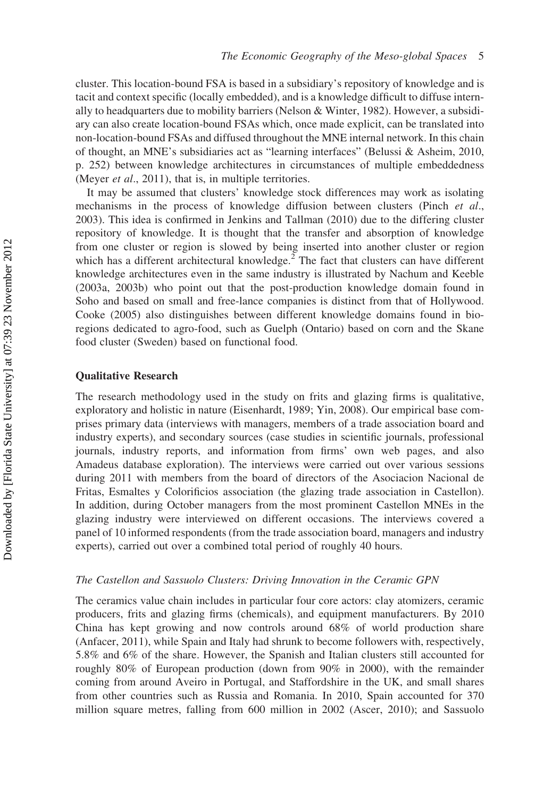cluster. This location-bound FSA is based in a subsidiary's repository of knowledge and is tacit and context specific (locally embedded), and is a knowledge difficult to diffuse internally to headquarters due to mobility barriers (Nelson & Winter, 1982). However, a subsidiary can also create location-bound FSAs which, once made explicit, can be translated into non-location-bound FSAs and diffused throughout the MNE internal network. In this chain of thought, an MNE's subsidiaries act as "learning interfaces" (Belussi & Asheim, 2010, p. 252) between knowledge architectures in circumstances of multiple embeddedness (Meyer *et al.*, 2011), that is, in multiple territories.

It may be assumed that clusters' knowledge stock differences may work as isolating mechanisms in the process of knowledge diffusion between clusters (Pinch et al., 2003). This idea is confirmed in Jenkins and Tallman (2010) due to the differing cluster repository of knowledge. It is thought that the transfer and absorption of knowledge from one cluster or region is slowed by being inserted into another cluster or region which has a different architectural knowledge.<sup>2</sup> The fact that clusters can have different knowledge architectures even in the same industry is illustrated by Nachum and Keeble (2003a, 2003b) who point out that the post-production knowledge domain found in Soho and based on small and free-lance companies is distinct from that of Hollywood. Cooke (2005) also distinguishes between different knowledge domains found in bioregions dedicated to agro-food, such as Guelph (Ontario) based on corn and the Skane food cluster (Sweden) based on functional food.

#### Qualitative Research

The research methodology used in the study on frits and glazing firms is qualitative, exploratory and holistic in nature (Eisenhardt, 1989; Yin, 2008). Our empirical base comprises primary data (interviews with managers, members of a trade association board and industry experts), and secondary sources (case studies in scientific journals, professional journals, industry reports, and information from firms' own web pages, and also Amadeus database exploration). The interviews were carried out over various sessions during 2011 with members from the board of directors of the Asociacion Nacional de Fritas, Esmaltes y Colorificios association (the glazing trade association in Castellon). In addition, during October managers from the most prominent Castellon MNEs in the glazing industry were interviewed on different occasions. The interviews covered a panel of 10 informed respondents (from the trade association board, managers and industry experts), carried out over a combined total period of roughly 40 hours.

#### The Castellon and Sassuolo Clusters: Driving Innovation in the Ceramic GPN

The ceramics value chain includes in particular four core actors: clay atomizers, ceramic producers, frits and glazing firms (chemicals), and equipment manufacturers. By 2010 China has kept growing and now controls around 68% of world production share (Anfacer, 2011), while Spain and Italy had shrunk to become followers with, respectively, 5.8% and 6% of the share. However, the Spanish and Italian clusters still accounted for roughly 80% of European production (down from 90% in 2000), with the remainder coming from around Aveiro in Portugal, and Staffordshire in the UK, and small shares from other countries such as Russia and Romania. In 2010, Spain accounted for 370 million square metres, falling from 600 million in 2002 (Ascer, 2010); and Sassuolo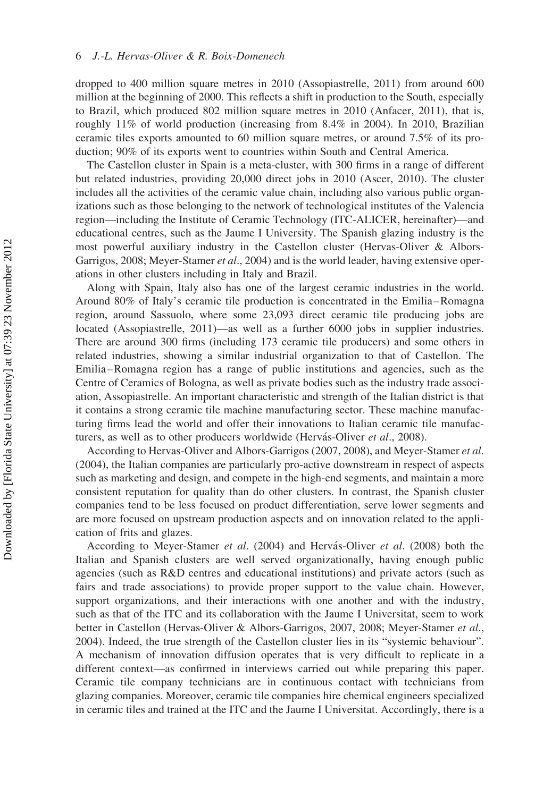dropped to 400 million square metres in 2010 (Assopiastrelle, 2011) from around 600 million at the beginning of 2000. This reflects a shift in production to the South, especially to Brazil, which produced 802 million square metres in 2010 (Anfacer, 2011), that is, roughly 11% of world production (increasing from 8.4% in 2004). In 2010, Brazilian ceramic tiles exports amounted to 60 million square metres, or around 7.5% of its production; 90% of its exports went to countries within South and Central America.

The Castellon cluster in Spain is a meta-cluster, with 300 firms in a range of different but related industries, providing 20,000 direct jobs in 2010 (Ascer, 2010). The cluster includes all the activities of the ceramic value chain, including also various public organizations such as those belonging to the network of technological institutes of the Valencia region—including the Institute of Ceramic Technology (ITC-ALICER, hereinafter)—and educational centres, such as the Jaume I University. The Spanish glazing industry is the most powerful auxiliary industry in the Castellon cluster (Hervas-Oliver & Albors-Garrigos, 2008; Meyer-Stamer et al., 2004) and is the world leader, having extensive operations in other clusters including in Italy and Brazil.

Along with Spain, Italy also has one of the largest ceramic industries in the world. Around 80% of Italy's ceramic tile production is concentrated in the Emilia–Romagna region, around Sassuolo, where some 23,093 direct ceramic tile producing jobs are located (Assopiastrelle, 2011)—as well as a further 6000 jobs in supplier industries. There are around 300 firms (including 173 ceramic tile producers) and some others in related industries, showing a similar industrial organization to that of Castellon. The Emilia–Romagna region has a range of public institutions and agencies, such as the Centre of Ceramics of Bologna, as well as private bodies such as the industry trade association, Assopiastrelle. An important characteristic and strength of the Italian district is that it contains a strong ceramic tile machine manufacturing sector. These machine manufacturing firms lead the world and offer their innovations to Italian ceramic tile manufacturers, as well as to other producers worldwide (Hervás-Oliver et al., 2008).

According to Hervas-Oliver and Albors-Garrigos (2007, 2008), and Meyer-Stamer et al. (2004), the Italian companies are particularly pro-active downstream in respect of aspects such as marketing and design, and compete in the high-end segments, and maintain a more consistent reputation for quality than do other clusters. In contrast, the Spanish cluster companies tend to be less focused on product differentiation, serve lower segments and are more focused on upstream production aspects and on innovation related to the application of frits and glazes.

According to Meyer-Stamer et al. (2004) and Hervás-Oliver et al. (2008) both the Italian and Spanish clusters are well served organizationally, having enough public agencies (such as R&D centres and educational institutions) and private actors (such as fairs and trade associations) to provide proper support to the value chain. However, support organizations, and their interactions with one another and with the industry, such as that of the ITC and its collaboration with the Jaume I Universitat, seem to work better in Castellon (Hervas-Oliver & Albors-Garrigos, 2007, 2008; Meyer-Stamer et al., 2004). Indeed, the true strength of the Castellon cluster lies in its "systemic behaviour". A mechanism of innovation diffusion operates that is very difficult to replicate in a different context—as confirmed in interviews carried out while preparing this paper. Ceramic tile company technicians are in continuous contact with technicians from glazing companies. Moreover, ceramic tile companies hire chemical engineers specialized in ceramic tiles and trained at the ITC and the Jaume I Universitat. Accordingly, there is a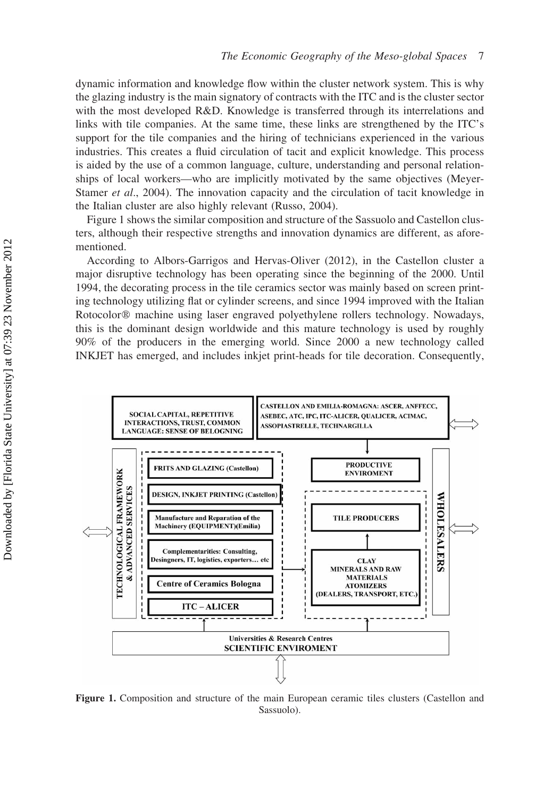dynamic information and knowledge flow within the cluster network system. This is why the glazing industry is the main signatory of contracts with the ITC and is the cluster sector with the most developed R&D. Knowledge is transferred through its interrelations and links with tile companies. At the same time, these links are strengthened by the ITC's support for the tile companies and the hiring of technicians experienced in the various industries. This creates a fluid circulation of tacit and explicit knowledge. This process is aided by the use of a common language, culture, understanding and personal relationships of local workers—who are implicitly motivated by the same objectives (Meyer-Stamer *et al.*, 2004). The innovation capacity and the circulation of tacit knowledge in the Italian cluster are also highly relevant (Russo, 2004).

Figure 1 shows the similar composition and structure of the Sassuolo and Castellon clusters, although their respective strengths and innovation dynamics are different, as aforementioned.

According to Albors-Garrigos and Hervas-Oliver (2012), in the Castellon cluster a major disruptive technology has been operating since the beginning of the 2000. Until 1994, the decorating process in the tile ceramics sector was mainly based on screen printing technology utilizing flat or cylinder screens, and since 1994 improved with the Italian Rotocolor<sup>®</sup> machine using laser engraved polyethylene rollers technology. Nowadays, this is the dominant design worldwide and this mature technology is used by roughly 90% of the producers in the emerging world. Since 2000 a new technology called INKJET has emerged, and includes inkjet print-heads for tile decoration. Consequently,



Figure 1. Composition and structure of the main European ceramic tiles clusters (Castellon and Sassuolo).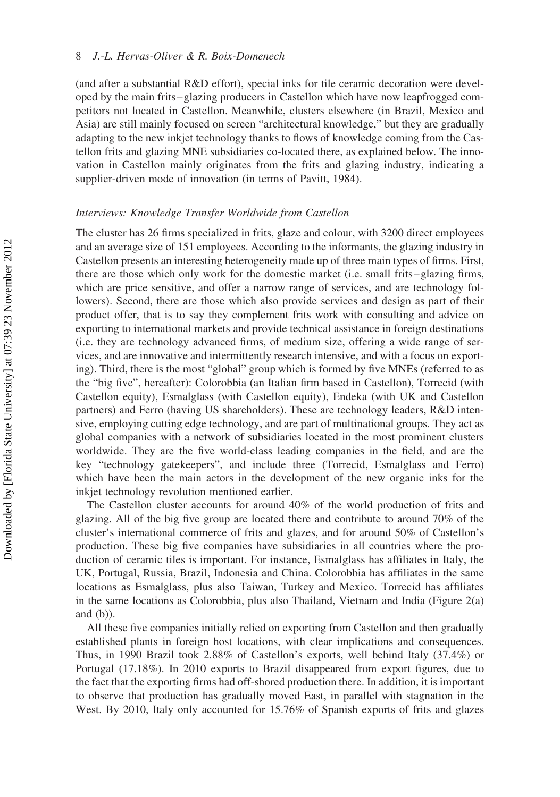(and after a substantial R&D effort), special inks for tile ceramic decoration were developed by the main frits–glazing producers in Castellon which have now leapfrogged competitors not located in Castellon. Meanwhile, clusters elsewhere (in Brazil, Mexico and Asia) are still mainly focused on screen "architectural knowledge," but they are gradually adapting to the new inkjet technology thanks to flows of knowledge coming from the Castellon frits and glazing MNE subsidiaries co-located there, as explained below. The innovation in Castellon mainly originates from the frits and glazing industry, indicating a supplier-driven mode of innovation (in terms of Pavitt, 1984).

#### Interviews: Knowledge Transfer Worldwide from Castellon

The cluster has 26 firms specialized in frits, glaze and colour, with 3200 direct employees and an average size of 151 employees. According to the informants, the glazing industry in Castellon presents an interesting heterogeneity made up of three main types of firms. First, there are those which only work for the domestic market (i.e. small frits–glazing firms, which are price sensitive, and offer a narrow range of services, and are technology followers). Second, there are those which also provide services and design as part of their product offer, that is to say they complement frits work with consulting and advice on exporting to international markets and provide technical assistance in foreign destinations (i.e. they are technology advanced firms, of medium size, offering a wide range of services, and are innovative and intermittently research intensive, and with a focus on exporting). Third, there is the most "global" group which is formed by five MNEs (referred to as the "big five", hereafter): Colorobbia (an Italian firm based in Castellon), Torrecid (with Castellon equity), Esmalglass (with Castellon equity), Endeka (with UK and Castellon partners) and Ferro (having US shareholders). These are technology leaders, R&D intensive, employing cutting edge technology, and are part of multinational groups. They act as global companies with a network of subsidiaries located in the most prominent clusters worldwide. They are the five world-class leading companies in the field, and are the key "technology gatekeepers", and include three (Torrecid, Esmalglass and Ferro) which have been the main actors in the development of the new organic inks for the inkjet technology revolution mentioned earlier.

The Castellon cluster accounts for around 40% of the world production of frits and glazing. All of the big five group are located there and contribute to around 70% of the cluster's international commerce of frits and glazes, and for around 50% of Castellon's production. These big five companies have subsidiaries in all countries where the production of ceramic tiles is important. For instance, Esmalglass has affiliates in Italy, the UK, Portugal, Russia, Brazil, Indonesia and China. Colorobbia has affiliates in the same locations as Esmalglass, plus also Taiwan, Turkey and Mexico. Torrecid has affiliates in the same locations as Colorobbia, plus also Thailand, Vietnam and India (Figure 2(a) and (b)).

All these five companies initially relied on exporting from Castellon and then gradually established plants in foreign host locations, with clear implications and consequences. Thus, in 1990 Brazil took 2.88% of Castellon's exports, well behind Italy (37.4%) or Portugal (17.18%). In 2010 exports to Brazil disappeared from export figures, due to the fact that the exporting firms had off-shored production there. In addition, it is important to observe that production has gradually moved East, in parallel with stagnation in the West. By 2010, Italy only accounted for 15.76% of Spanish exports of frits and glazes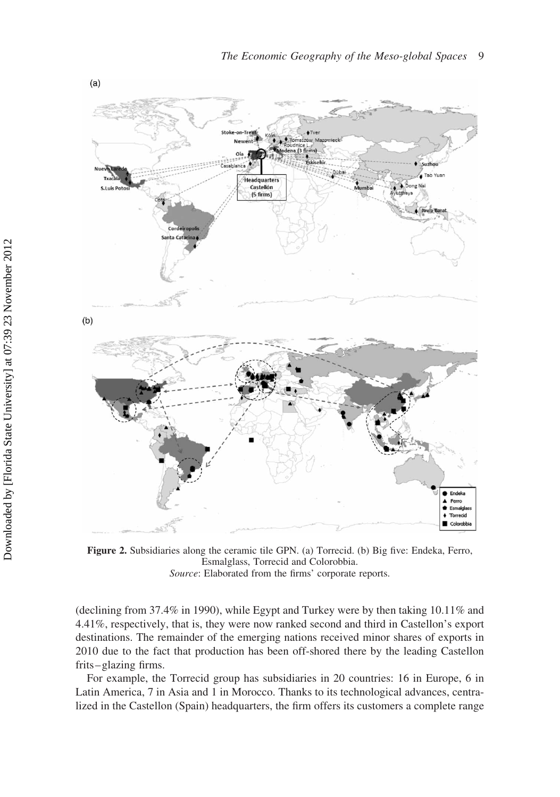

Figure 2. Subsidiaries along the ceramic tile GPN. (a) Torrecid. (b) Big five: Endeka, Ferro, Esmalglass, Torrecid and Colorobbia. Source: Elaborated from the firms' corporate reports.

(declining from 37.4% in 1990), while Egypt and Turkey were by then taking 10.11% and 4.41%, respectively, that is, they were now ranked second and third in Castellon's export destinations. The remainder of the emerging nations received minor shares of exports in 2010 due to the fact that production has been off-shored there by the leading Castellon frits–glazing firms.

For example, the Torrecid group has subsidiaries in 20 countries: 16 in Europe, 6 in Latin America, 7 in Asia and 1 in Morocco. Thanks to its technological advances, centralized in the Castellon (Spain) headquarters, the firm offers its customers a complete range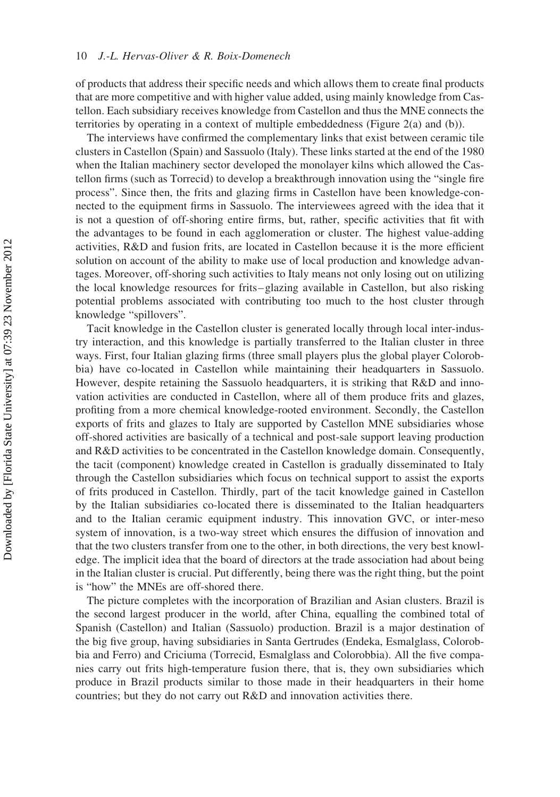of products that address their specific needs and which allows them to create final products that are more competitive and with higher value added, using mainly knowledge from Castellon. Each subsidiary receives knowledge from Castellon and thus the MNE connects the territories by operating in a context of multiple embeddedness (Figure 2(a) and (b)).

The interviews have confirmed the complementary links that exist between ceramic tile clusters in Castellon (Spain) and Sassuolo (Italy). These links started at the end of the 1980 when the Italian machinery sector developed the monolayer kilns which allowed the Castellon firms (such as Torrecid) to develop a breakthrough innovation using the "single fire process". Since then, the frits and glazing firms in Castellon have been knowledge-connected to the equipment firms in Sassuolo. The interviewees agreed with the idea that it is not a question of off-shoring entire firms, but, rather, specific activities that fit with the advantages to be found in each agglomeration or cluster. The highest value-adding activities, R&D and fusion frits, are located in Castellon because it is the more efficient solution on account of the ability to make use of local production and knowledge advantages. Moreover, off-shoring such activities to Italy means not only losing out on utilizing the local knowledge resources for frits–glazing available in Castellon, but also risking potential problems associated with contributing too much to the host cluster through knowledge "spillovers".

Tacit knowledge in the Castellon cluster is generated locally through local inter-industry interaction, and this knowledge is partially transferred to the Italian cluster in three ways. First, four Italian glazing firms (three small players plus the global player Colorobbia) have co-located in Castellon while maintaining their headquarters in Sassuolo. However, despite retaining the Sassuolo headquarters, it is striking that R&D and innovation activities are conducted in Castellon, where all of them produce frits and glazes, profiting from a more chemical knowledge-rooted environment. Secondly, the Castellon exports of frits and glazes to Italy are supported by Castellon MNE subsidiaries whose off-shored activities are basically of a technical and post-sale support leaving production and R&D activities to be concentrated in the Castellon knowledge domain. Consequently, the tacit (component) knowledge created in Castellon is gradually disseminated to Italy through the Castellon subsidiaries which focus on technical support to assist the exports of frits produced in Castellon. Thirdly, part of the tacit knowledge gained in Castellon by the Italian subsidiaries co-located there is disseminated to the Italian headquarters and to the Italian ceramic equipment industry. This innovation GVC, or inter-meso system of innovation, is a two-way street which ensures the diffusion of innovation and that the two clusters transfer from one to the other, in both directions, the very best knowledge. The implicit idea that the board of directors at the trade association had about being in the Italian cluster is crucial. Put differently, being there was the right thing, but the point is "how" the MNEs are off-shored there.

The picture completes with the incorporation of Brazilian and Asian clusters. Brazil is the second largest producer in the world, after China, equalling the combined total of Spanish (Castellon) and Italian (Sassuolo) production. Brazil is a major destination of the big five group, having subsidiaries in Santa Gertrudes (Endeka, Esmalglass, Colorobbia and Ferro) and Criciuma (Torrecid, Esmalglass and Colorobbia). All the five companies carry out frits high-temperature fusion there, that is, they own subsidiaries which produce in Brazil products similar to those made in their headquarters in their home countries; but they do not carry out R&D and innovation activities there.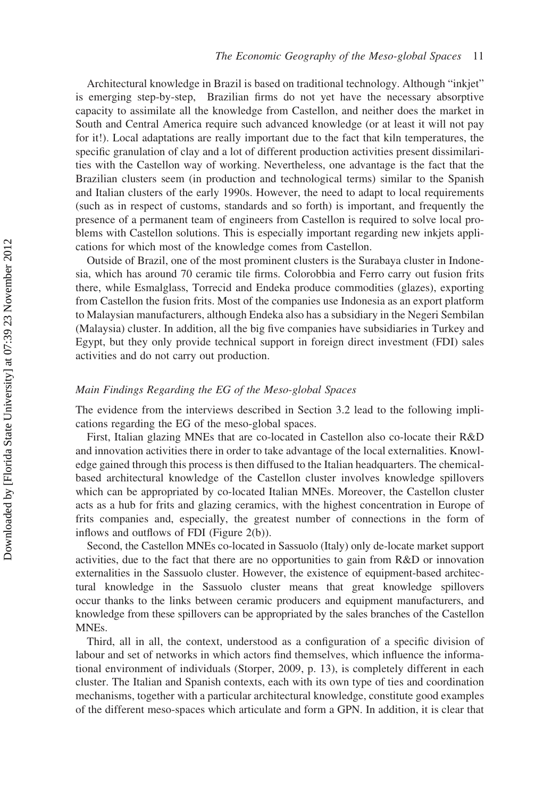Architectural knowledge in Brazil is based on traditional technology. Although "inkjet" is emerging step-by-step, Brazilian firms do not yet have the necessary absorptive capacity to assimilate all the knowledge from Castellon, and neither does the market in South and Central America require such advanced knowledge (or at least it will not pay for it!). Local adaptations are really important due to the fact that kiln temperatures, the specific granulation of clay and a lot of different production activities present dissimilarities with the Castellon way of working. Nevertheless, one advantage is the fact that the Brazilian clusters seem (in production and technological terms) similar to the Spanish and Italian clusters of the early 1990s. However, the need to adapt to local requirements (such as in respect of customs, standards and so forth) is important, and frequently the presence of a permanent team of engineers from Castellon is required to solve local problems with Castellon solutions. This is especially important regarding new inkjets applications for which most of the knowledge comes from Castellon.

Outside of Brazil, one of the most prominent clusters is the Surabaya cluster in Indonesia, which has around 70 ceramic tile firms. Colorobbia and Ferro carry out fusion frits there, while Esmalglass, Torrecid and Endeka produce commodities (glazes), exporting from Castellon the fusion frits. Most of the companies use Indonesia as an export platform to Malaysian manufacturers, although Endeka also has a subsidiary in the Negeri Sembilan (Malaysia) cluster. In addition, all the big five companies have subsidiaries in Turkey and Egypt, but they only provide technical support in foreign direct investment (FDI) sales activities and do not carry out production.

#### Main Findings Regarding the EG of the Meso-global Spaces

The evidence from the interviews described in Section 3.2 lead to the following implications regarding the EG of the meso-global spaces.

First, Italian glazing MNEs that are co-located in Castellon also co-locate their R&D and innovation activities there in order to take advantage of the local externalities. Knowledge gained through this process is then diffused to the Italian headquarters. The chemicalbased architectural knowledge of the Castellon cluster involves knowledge spillovers which can be appropriated by co-located Italian MNEs. Moreover, the Castellon cluster acts as a hub for frits and glazing ceramics, with the highest concentration in Europe of frits companies and, especially, the greatest number of connections in the form of inflows and outflows of FDI (Figure 2(b)).

Second, the Castellon MNEs co-located in Sassuolo (Italy) only de-locate market support activities, due to the fact that there are no opportunities to gain from R&D or innovation externalities in the Sassuolo cluster. However, the existence of equipment-based architectural knowledge in the Sassuolo cluster means that great knowledge spillovers occur thanks to the links between ceramic producers and equipment manufacturers, and knowledge from these spillovers can be appropriated by the sales branches of the Castellon MNEs.

Third, all in all, the context, understood as a configuration of a specific division of labour and set of networks in which actors find themselves, which influence the informational environment of individuals (Storper, 2009, p. 13), is completely different in each cluster. The Italian and Spanish contexts, each with its own type of ties and coordination mechanisms, together with a particular architectural knowledge, constitute good examples of the different meso-spaces which articulate and form a GPN. In addition, it is clear that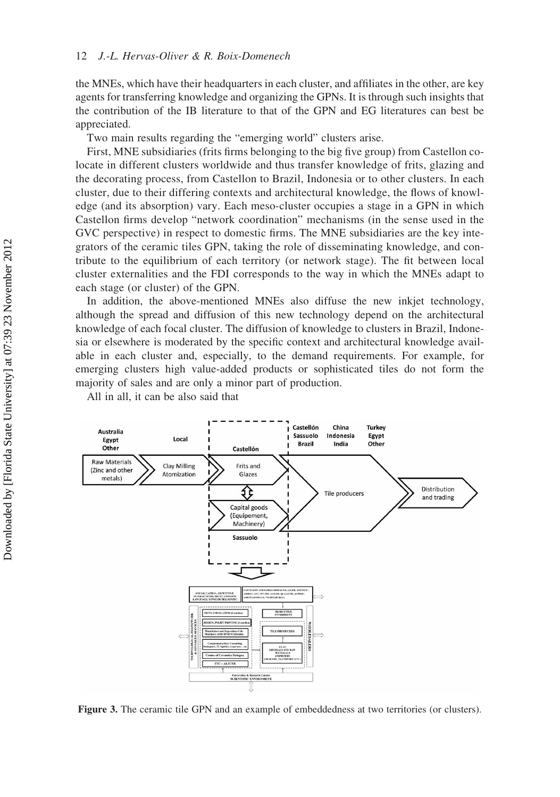the MNEs, which have their headquarters in each cluster, and affiliates in the other, are key agents for transferring knowledge and organizing the GPNs. It is through such insights that the contribution of the IB literature to that of the GPN and EG literatures can best be appreciated.

Two main results regarding the "emerging world" clusters arise.

First, MNE subsidiaries (frits firms belonging to the big five group) from Castellon colocate in different clusters worldwide and thus transfer knowledge of frits, glazing and the decorating process, from Castellon to Brazil, Indonesia or to other clusters. In each cluster, due to their differing contexts and architectural knowledge, the flows of knowledge (and its absorption) vary. Each meso-cluster occupies a stage in a GPN in which Castellon firms develop "network coordination" mechanisms (in the sense used in the GVC perspective) in respect to domestic firms. The MNE subsidiaries are the key integrators of the ceramic tiles GPN, taking the role of disseminating knowledge, and contribute to the equilibrium of each territory (or network stage). The fit between local cluster externalities and the FDI corresponds to the way in which the MNEs adapt to each stage (or cluster) of the GPN.

In addition, the above-mentioned MNEs also diffuse the new inkjet technology, although the spread and diffusion of this new technology depend on the architectural knowledge of each focal cluster. The diffusion of knowledge to clusters in Brazil, Indonesia or elsewhere is moderated by the specific context and architectural knowledge available in each cluster and, especially, to the demand requirements. For example, for emerging clusters high value-added products or sophisticated tiles do not form the majority of sales and are only a minor part of production.

All in all, it can be also said that



Figure 3. The ceramic tile GPN and an example of embeddedness at two territories (or clusters).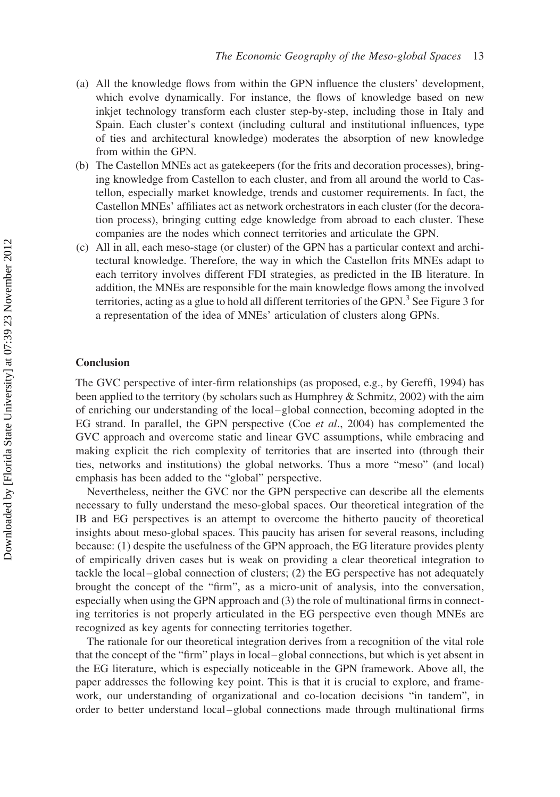- (a) All the knowledge flows from within the GPN influence the clusters' development, which evolve dynamically. For instance, the flows of knowledge based on new inkjet technology transform each cluster step-by-step, including those in Italy and Spain. Each cluster's context (including cultural and institutional influences, type of ties and architectural knowledge) moderates the absorption of new knowledge from within the GPN.
- (b) The Castellon MNEs act as gatekeepers (for the frits and decoration processes), bringing knowledge from Castellon to each cluster, and from all around the world to Castellon, especially market knowledge, trends and customer requirements. In fact, the Castellon MNEs' affiliates act as network orchestrators in each cluster (for the decoration process), bringing cutting edge knowledge from abroad to each cluster. These companies are the nodes which connect territories and articulate the GPN.
- (c) All in all, each meso-stage (or cluster) of the GPN has a particular context and architectural knowledge. Therefore, the way in which the Castellon frits MNEs adapt to each territory involves different FDI strategies, as predicted in the IB literature. In addition, the MNEs are responsible for the main knowledge flows among the involved territories, acting as a glue to hold all different territories of the GPN. $3$  See Figure 3 for a representation of the idea of MNEs' articulation of clusters along GPNs.

#### **Conclusion**

The GVC perspective of inter-firm relationships (as proposed, e.g., by Gereffi, 1994) has been applied to the territory (by scholars such as Humphrey  $&$  Schmitz, 2002) with the aim of enriching our understanding of the local–global connection, becoming adopted in the EG strand. In parallel, the GPN perspective (Coe *et al.*, 2004) has complemented the GVC approach and overcome static and linear GVC assumptions, while embracing and making explicit the rich complexity of territories that are inserted into (through their ties, networks and institutions) the global networks. Thus a more "meso" (and local) emphasis has been added to the "global" perspective.

Nevertheless, neither the GVC nor the GPN perspective can describe all the elements necessary to fully understand the meso-global spaces. Our theoretical integration of the IB and EG perspectives is an attempt to overcome the hitherto paucity of theoretical insights about meso-global spaces. This paucity has arisen for several reasons, including because: (1) despite the usefulness of the GPN approach, the EG literature provides plenty of empirically driven cases but is weak on providing a clear theoretical integration to tackle the local–global connection of clusters; (2) the EG perspective has not adequately brought the concept of the "firm", as a micro-unit of analysis, into the conversation, especially when using the GPN approach and (3) the role of multinational firms in connecting territories is not properly articulated in the EG perspective even though MNEs are recognized as key agents for connecting territories together.

The rationale for our theoretical integration derives from a recognition of the vital role that the concept of the "firm" plays in local–global connections, but which is yet absent in the EG literature, which is especially noticeable in the GPN framework. Above all, the paper addresses the following key point. This is that it is crucial to explore, and framework, our understanding of organizational and co-location decisions "in tandem", in order to better understand local–global connections made through multinational firms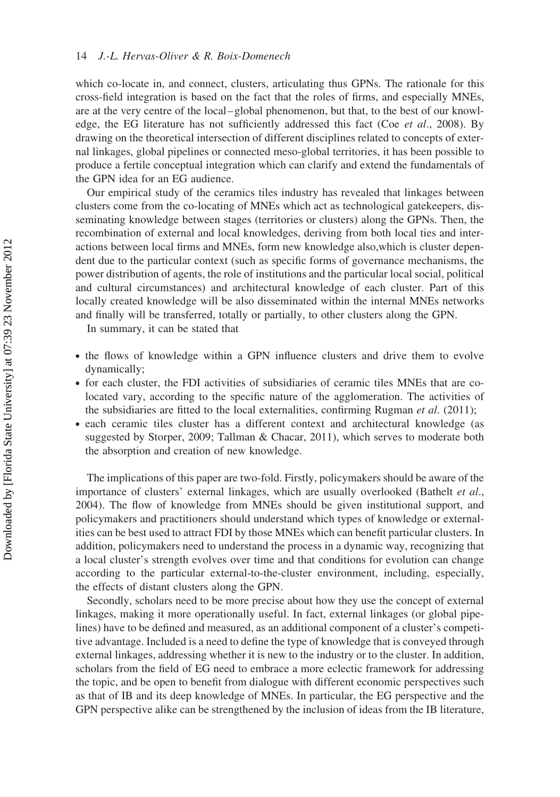which co-locate in, and connect, clusters, articulating thus GPNs. The rationale for this cross-field integration is based on the fact that the roles of firms, and especially MNEs, are at the very centre of the local–global phenomenon, but that, to the best of our knowledge, the EG literature has not sufficiently addressed this fact (Coe et al., 2008). By drawing on the theoretical intersection of different disciplines related to concepts of external linkages, global pipelines or connected meso-global territories, it has been possible to produce a fertile conceptual integration which can clarify and extend the fundamentals of the GPN idea for an EG audience.

Our empirical study of the ceramics tiles industry has revealed that linkages between clusters come from the co-locating of MNEs which act as technological gatekeepers, disseminating knowledge between stages (territories or clusters) along the GPNs. Then, the recombination of external and local knowledges, deriving from both local ties and interactions between local firms and MNEs, form new knowledge also,which is cluster dependent due to the particular context (such as specific forms of governance mechanisms, the power distribution of agents, the role of institutions and the particular local social, political and cultural circumstances) and architectural knowledge of each cluster. Part of this locally created knowledge will be also disseminated within the internal MNEs networks and finally will be transferred, totally or partially, to other clusters along the GPN.

In summary, it can be stated that

- . the flows of knowledge within a GPN influence clusters and drive them to evolve dynamically;
- . for each cluster, the FDI activities of subsidiaries of ceramic tiles MNEs that are colocated vary, according to the specific nature of the agglomeration. The activities of the subsidiaries are fitted to the local externalities, confirming Rugman *et al.* (2011);
- . each ceramic tiles cluster has a different context and architectural knowledge (as suggested by Storper, 2009; Tallman & Chacar, 2011), which serves to moderate both the absorption and creation of new knowledge.

The implications of this paper are two-fold. Firstly, policymakers should be aware of the importance of clusters' external linkages, which are usually overlooked (Bathelt et al., 2004). The flow of knowledge from MNEs should be given institutional support, and policymakers and practitioners should understand which types of knowledge or externalities can be best used to attract FDI by those MNEs which can benefit particular clusters. In addition, policymakers need to understand the process in a dynamic way, recognizing that a local cluster's strength evolves over time and that conditions for evolution can change according to the particular external-to-the-cluster environment, including, especially, the effects of distant clusters along the GPN.

Secondly, scholars need to be more precise about how they use the concept of external linkages, making it more operationally useful. In fact, external linkages (or global pipelines) have to be defined and measured, as an additional component of a cluster's competitive advantage. Included is a need to define the type of knowledge that is conveyed through external linkages, addressing whether it is new to the industry or to the cluster. In addition, scholars from the field of EG need to embrace a more eclectic framework for addressing the topic, and be open to benefit from dialogue with different economic perspectives such as that of IB and its deep knowledge of MNEs. In particular, the EG perspective and the GPN perspective alike can be strengthened by the inclusion of ideas from the IB literature,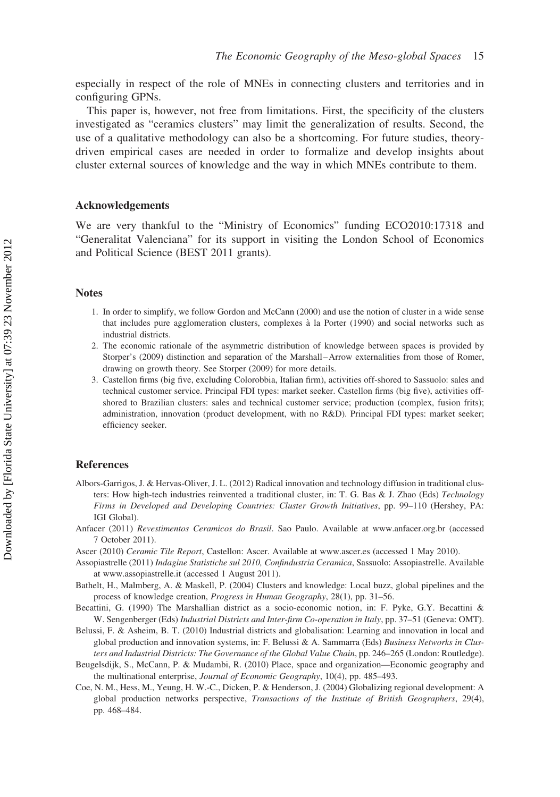especially in respect of the role of MNEs in connecting clusters and territories and in configuring GPNs.

This paper is, however, not free from limitations. First, the specificity of the clusters investigated as "ceramics clusters" may limit the generalization of results. Second, the use of a qualitative methodology can also be a shortcoming. For future studies, theorydriven empirical cases are needed in order to formalize and develop insights about cluster external sources of knowledge and the way in which MNEs contribute to them.

#### Acknowledgements

We are very thankful to the "Ministry of Economics" funding ECO2010:17318 and "Generalitat Valenciana" for its support in visiting the London School of Economics and Political Science (BEST 2011 grants).

#### Notes

- 1. In order to simplify, we follow Gordon and McCann (2000) and use the notion of cluster in a wide sense that includes pure agglomeration clusters, complexes à la Porter (1990) and social networks such as industrial districts.
- 2. The economic rationale of the asymmetric distribution of knowledge between spaces is provided by Storper's (2009) distinction and separation of the Marshall–Arrow externalities from those of Romer, drawing on growth theory. See Storper (2009) for more details.
- 3. Castellon firms (big five, excluding Colorobbia, Italian firm), activities off-shored to Sassuolo: sales and technical customer service. Principal FDI types: market seeker. Castellon firms (big five), activities offshored to Brazilian clusters: sales and technical customer service; production (complex, fusion frits); administration, innovation (product development, with no R&D). Principal FDI types: market seeker; efficiency seeker.

#### References

- Albors-Garrigos, J. & Hervas-Oliver, J. L. (2012) Radical innovation and technology diffusion in traditional clusters: How high-tech industries reinvented a traditional cluster, in: T. G. Bas & J. Zhao (Eds) Technology Firms in Developed and Developing Countries: Cluster Growth Initiatives, pp. 99–110 (Hershey, PA: IGI Global).
- Anfacer (2011) Revestimentos Ceramicos do Brasil. Sao Paulo. Available at<www.anfacer.org.br> (accessed 7 October 2011).
- Ascer (2010) Ceramic Tile Report, Castellon: Ascer. Available at<www.ascer.es> (accessed 1 May 2010).
- Assopiastrelle (2011) Indagine Statistiche sul 2010, Confindustria Ceramica, Sassuolo: Assopiastrelle. Available at<www.assopiastrelle.it> (accessed 1 August 2011).
- Bathelt, H., Malmberg, A. & Maskell, P. (2004) Clusters and knowledge: Local buzz, global pipelines and the process of knowledge creation, Progress in Human Geography, 28(1), pp. 31-56.
- Becattini, G. (1990) The Marshallian district as a socio-economic notion, in: F. Pyke, G.Y. Becattini & W. Sengenberger (Eds) Industrial Districts and Inter-firm Co-operation in Italy, pp. 37–51 (Geneva: OMT).
- Belussi, F. & Asheim, B. T. (2010) Industrial districts and globalisation: Learning and innovation in local and global production and innovation systems, in: F. Belussi & A. Sammarra (Eds) Business Networks in Clusters and Industrial Districts: The Governance of the Global Value Chain, pp. 246–265 (London: Routledge).
- Beugelsdijk, S., McCann, P. & Mudambi, R. (2010) Place, space and organization—Economic geography and the multinational enterprise, Journal of Economic Geography, 10(4), pp. 485-493.
- Coe, N. M., Hess, M., Yeung, H. W.-C., Dicken, P. & Henderson, J. (2004) Globalizing regional development: A global production networks perspective, Transactions of the Institute of British Geographers, 29(4), pp. 468–484.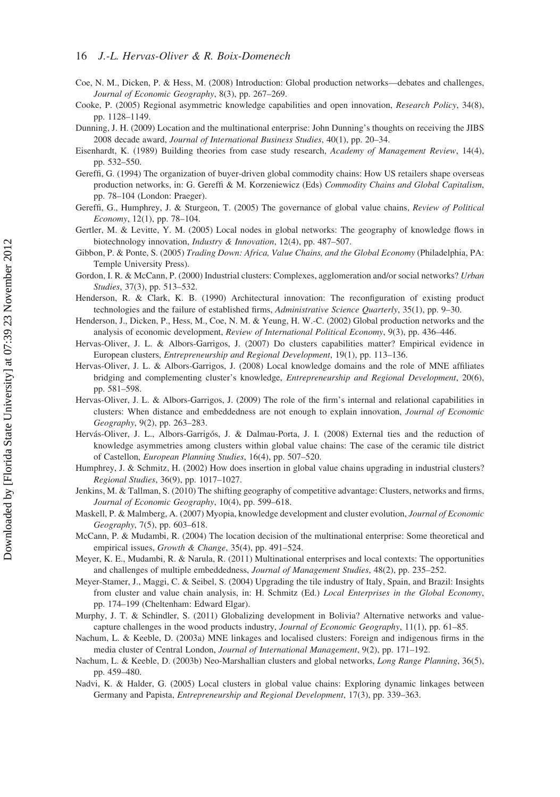- Coe, N. M., Dicken, P. & Hess, M. (2008) Introduction: Global production networks—debates and challenges, Journal of Economic Geography, 8(3), pp. 267–269.
- Cooke, P. (2005) Regional asymmetric knowledge capabilities and open innovation, Research Policy, 34(8), pp. 1128–1149.
- Dunning, J. H. (2009) Location and the multinational enterprise: John Dunning's thoughts on receiving the JIBS 2008 decade award, Journal of International Business Studies, 40(1), pp. 20–34.
- Eisenhardt, K. (1989) Building theories from case study research, Academy of Management Review, 14(4), pp. 532–550.
- Gereffi, G. (1994) The organization of buyer-driven global commodity chains: How US retailers shape overseas production networks, in: G. Gereffi & M. Korzeniewicz (Eds) Commodity Chains and Global Capitalism, pp. 78–104 (London: Praeger).
- Gereffi, G., Humphrey, J. & Sturgeon, T. (2005) The governance of global value chains, Review of Political Economy, 12(1), pp. 78–104.
- Gertler, M. & Levitte, Y. M. (2005) Local nodes in global networks: The geography of knowledge flows in biotechnology innovation, *Industry & Innovation*, 12(4), pp. 487–507.
- Gibbon, P. & Ponte, S. (2005) Trading Down: Africa, Value Chains, and the Global Economy (Philadelphia, PA: Temple University Press).
- Gordon, I. R. & McCann, P. (2000) Industrial clusters: Complexes, agglomeration and/or social networks? Urban Studies, 37(3), pp. 513–532.
- Henderson, R. & Clark, K. B. (1990) Architectural innovation: The reconfiguration of existing product technologies and the failure of established firms, *Administrative Science Quarterly*, 35(1), pp. 9–30.
- Henderson, J., Dicken, P., Hess, M., Coe, N. M. & Yeung, H. W.-C. (2002) Global production networks and the analysis of economic development, Review of International Political Economy, 9(3), pp. 436–446.
- Hervas-Oliver, J. L. & Albors-Garrigos, J. (2007) Do clusters capabilities matter? Empirical evidence in European clusters, Entrepreneurship and Regional Development, 19(1), pp. 113–136.
- Hervas-Oliver, J. L. & Albors-Garrigos, J. (2008) Local knowledge domains and the role of MNE affiliates bridging and complementing cluster's knowledge, Entrepreneurship and Regional Development, 20(6), pp. 581–598.
- Hervas-Oliver, J. L. & Albors-Garrigos, J. (2009) The role of the firm's internal and relational capabilities in clusters: When distance and embeddedness are not enough to explain innovation, Journal of Economic Geography, 9(2), pp. 263–283.
- Hervás-Oliver, J. L., Albors-Garrigós, J. & Dalmau-Porta, J. I. (2008) External ties and the reduction of knowledge asymmetries among clusters within global value chains: The case of the ceramic tile district of Castellon, European Planning Studies, 16(4), pp. 507–520.
- Humphrey, J. & Schmitz, H. (2002) How does insertion in global value chains upgrading in industrial clusters? Regional Studies, 36(9), pp. 1017–1027.
- Jenkins, M. & Tallman, S. (2010) The shifting geography of competitive advantage: Clusters, networks and firms, Journal of Economic Geography, 10(4), pp. 599–618.
- Maskell, P. & Malmberg, A. (2007) Myopia, knowledge development and cluster evolution, Journal of Economic Geography, 7(5), pp. 603–618.
- McCann, P. & Mudambi, R. (2004) The location decision of the multinational enterprise: Some theoretical and empirical issues, Growth & Change, 35(4), pp. 491-524.
- Meyer, K. E., Mudambi, R. & Narula, R. (2011) Multinational enterprises and local contexts: The opportunities and challenges of multiple embeddedness, Journal of Management Studies, 48(2), pp. 235–252.
- Meyer-Stamer, J., Maggi, C. & Seibel, S. (2004) Upgrading the tile industry of Italy, Spain, and Brazil: Insights from cluster and value chain analysis, in: H. Schmitz (Ed.) Local Enterprises in the Global Economy, pp. 174–199 (Cheltenham: Edward Elgar).
- Murphy, J. T. & Schindler, S. (2011) Globalizing development in Bolivia? Alternative networks and valuecapture challenges in the wood products industry, Journal of Economic Geography, 11(1), pp. 61–85.
- Nachum, L. & Keeble, D. (2003a) MNE linkages and localised clusters: Foreign and indigenous firms in the media cluster of Central London, *Journal of International Management*, 9(2), pp. 171–192.
- Nachum, L. & Keeble, D. (2003b) Neo-Marshallian clusters and global networks, Long Range Planning, 36(5), pp. 459–480.
- Nadvi, K. & Halder, G. (2005) Local clusters in global value chains: Exploring dynamic linkages between Germany and Papista, Entrepreneurship and Regional Development, 17(3), pp. 339–363.